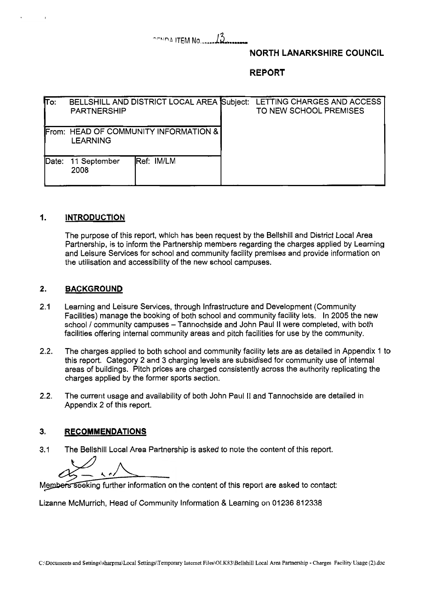# $\sim$  $\frac{13}{15}$

### **NORTH LANARKSHIRE COUNCIL**

**REPORT** 

| $\overline{\mathsf{To}}$ : | <b>PARTNERSHIP</b>   | BELLSHILL AND DISTRICT LOCAL AREA Subject: | LETTING CHARGES AND ACCESS<br>TO NEW SCHOOL PREMISES |
|----------------------------|----------------------|--------------------------------------------|------------------------------------------------------|
|                            | <b>LEARNING</b>      | From: HEAD OF COMMUNITY INFORMATION &      |                                                      |
| Date:                      | 11 September<br>2008 | Ref: IM/LM                                 |                                                      |

### **1. INTRODUCTION**

The purpose of this report, which has been request by the Bellshill and District Local Area Partnership, is to inform the Partnership members regarding the charges applied by Learning and Leisure Services for school and community facility premises and provide information on the utilisation and accessibility of the new school campuses.

### **2. BACKGROUND**

- 2.1 Learning and Leisure Services, through Infrastructure and Development (Community Facilities) manage the booking of both school and community facility lets. In 2005 the new school / community campuses - Tannochside and John Paul II were completed, with both facilities offering internal community areas and pitch facilities for use by the community.
- 2.2. The charges applied to both school and community facility lets are as detailed in Appendix 1 to this report. Category 2 and 3 charging levels are subsidised for community use of internal areas of buildings. Pitch prices are charged consistently across the authority replicating the charges applied by the former sports section.
- 2.2. The current usage and availability of both John Paul II and Tannochside are detailed in Appendix 2 of this report.

#### **3. RECOMMENDATIONS**

3.1 The Bellshill Local Area Partnership is asked to note the content of this report.

Members seeking further information on the content of this report are asked to contact:

Lizanne McMurrich, Head of Community Information & Learning on 01236 812338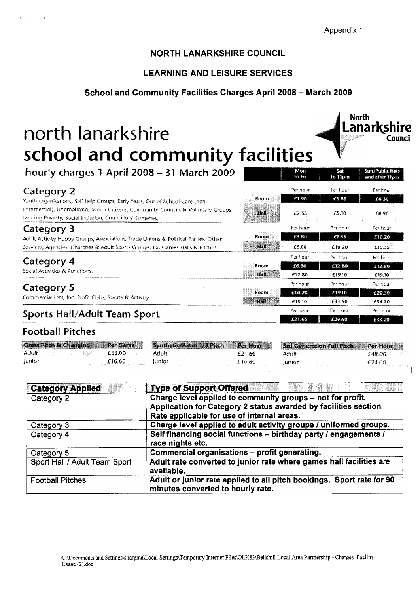**Lanarkshire** 

Sun / Public Hol

and after 11pm

Per hour

£6.30

 $f8.90$ 

Per hour

£10.20

£15.35

Por boun

£12.80

£19.10

Per hour

 $62030$ 

£34.70

Per bour

£33.20

1

**North** 

to 11pm

Per hour

£3.80

£5.10

Ber bour

£7.65

£10.20

Per hour

£12.80

 $f19.10$ 

Per nour

£19.10

€33.50

Per hour

£29.60

Mon<br>to Fri

Per hour

£1.90

£2.55

Per hour

€3.80

£5.00

 $p_{\text{tot}}$  from

£6.30

£12.80

Per hour

£10.20

£19.10

Per frour

£21.65

Room

้มสติ

Room

Hall

Room

Room

Hall

**Hall** 

**Council** 

## **NORTH LANARKSHIRE COUNCIL**

## **LEARNING AND LEISURE SERVICES**

### **School and Community Facilities Charges April 2008** - **March 2009**

# north lanarkshire **school and community facilities**

**hourty charges 7 April** *<sup>2008</sup>*- **<sup>31</sup>March** *<sup>2009</sup>*

# Category 2

Youth organisations, Self help Croups, Early Years, Out of School Care (noncommercial), Unemployed, Senior Citizens, Community Councils & Voluntary Groups tackling Poverty, Social Inclusion, Councillors' Surgeries.

# Category 3

Adult Activity Hobby Groups, Associations, Trade Unions & Political Parties, Other Services, Agencies, Churches & Adult Sports Groups, Ex. Games Halls & Pitches.

### Category 4

Social Activities & Functions.

## Category 5

Commercial Lets, Inc. Profit Clubs, Sports & Activity.

# Sports Hall/Adult Team Sport

# **Football Pitches**

| <b>Crass Pitch &amp; Changing Per Game</b>     |         |                           | Synthetic/Astro 1/3 Pitch Per Hour |                       | 3rd Generation Full Pitch Per Hour |
|------------------------------------------------|---------|---------------------------|------------------------------------|-----------------------|------------------------------------|
|                                                | £33.00  | Adult                     | £21.60.                            | Adult                 | £48.00                             |
| <b>Tunior</b><br>the Manager County of Contact | £16.60. | lunior<br><b>COLLAPSE</b> | £10.80                             | lunior<br>man a state | £24.00                             |

| <b>Category Applied</b>       | e Italia and<br><b>Type of Support Offered</b>                                                                                                                               |
|-------------------------------|------------------------------------------------------------------------------------------------------------------------------------------------------------------------------|
| Category 2                    | Charge level applied to community groups - not for profit.<br>Application for Category 2 status awarded by facilities section.<br>Rate applicable for use of internal areas. |
| Category 3                    | Charge level applied to adult activity groups / uniformed groups.                                                                                                            |
| Category 4                    | Self financing social functions - birthday party / engagements /<br>race nights etc.                                                                                         |
| Category 5                    | Commercial organisations - profit generating.                                                                                                                                |
| Sport Hall / Adult Team Sport | Adult rate converted to junior rate where games hall facilities are<br>available.                                                                                            |
| <b>Football Pitches</b>       | Adult or junior rate applied to all pitch bookings. Sport rate for 90<br>minutes converted to hourly rate.                                                                   |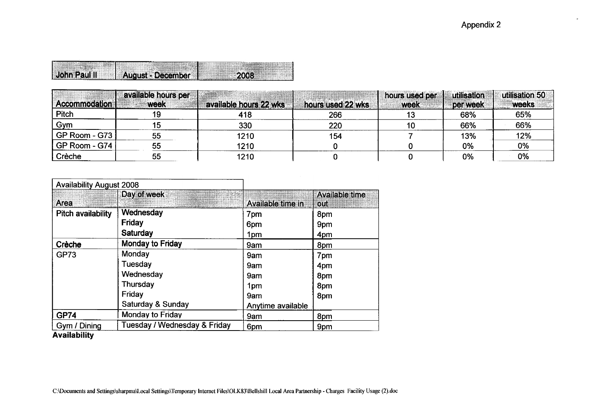| <b>John Paul II</b> |                     |  |
|---------------------|---------------------|--|
|                     | . August - December |  |
|                     |                     |  |

| Accommodation | available hours per<br><b>week</b> | available hours 22 wks | hours used 22 wks | hours used per<br>week | utilisation<br>per week | utilisation 50<br>weeks |
|---------------|------------------------------------|------------------------|-------------------|------------------------|-------------------------|-------------------------|
| Pitch         |                                    | 418                    | 266               |                        | 68%                     | 65%                     |
| Gym           |                                    | 330                    | 220               | 10                     | 66%                     | 66%                     |
| GP Room - G73 | 55                                 | 1210                   | 154               |                        | 13%                     | 12%                     |
| GP Room - G74 | 55                                 | 1210                   |                   |                        | 0%                      | 0%                      |
| Crèche        | 55                                 | 1210                   |                   |                        | 0%                      | 0%                      |

|                                                                                           |                                                                                                                                                   |                                                                       |                                                                                                                           |                                                 | <b>Appendix 2</b>                     |                                       |  |  |  |
|-------------------------------------------------------------------------------------------|---------------------------------------------------------------------------------------------------------------------------------------------------|-----------------------------------------------------------------------|---------------------------------------------------------------------------------------------------------------------------|-------------------------------------------------|---------------------------------------|---------------------------------------|--|--|--|
| John Paul II<br>Accommodation<br>Pitch<br>Gym<br>GP Room - G73<br>GP Room - G74<br>Crèche | August - December<br>available hours per<br>week<br>19<br>15                                                                                      | 2008<br><b>available hours 22 wks:</b><br>418<br>330                  | hours used 22 wks<br>266<br>220                                                                                           | hours used per<br>week<br>13<br>10 <sub>1</sub> | utilisation<br>per week<br>68%<br>66% | utilisation 50<br>weeks<br>65%<br>66% |  |  |  |
| Availability August 2008<br><b>Day of week</b>                                            | 55<br>$\frac{55}{55}$                                                                                                                             | 1210<br>1210<br>1210                                                  | 154<br>$\mathbf 0$<br>$\mathbf 0$                                                                                         | $\overline{7}$<br>$\bf{0}$<br>$\mathbf{0}$      | 13%<br>0%<br>$0\%$                    | 12%<br>$\frac{0\%}{0\%}$              |  |  |  |
| Area<br>Pitch availability<br>Crèche<br>GP73                                              | Wednesday<br>Friday<br>Saturday<br>Monday to Friday                                                                                               | Available time in<br>7 <sub>pm</sub><br>  6pm<br>1pm<br>9am           | Available time<br>  out<br>$\sqrt{8pm}$<br>$\begin{array}{ c } 9 \text{pm} \\ 4 \text{pm} \end{array}$<br>8 <sub>pm</sub> |                                                 |                                       |                                       |  |  |  |
|                                                                                           | Monday<br>Tuesday<br>Wednesday<br>Thursday<br>$ $ Friday<br>Saturday & Sunday<br>Monday to Friday                                                 | 9am<br>$  9$ am<br>$\sqrt{9}$ am<br>1pm<br>  9am<br>Anytime available | 7 <sub>pm</sub><br>$\begin{array}{ c } \hline 4pm \\ 8pm \\ 8pm \end{array}$<br>$ 8$ pm                                   |                                                 |                                       |                                       |  |  |  |
| GP74<br>Gym / Dining<br>Availability                                                      | Tuesday / Wednesday & Friday                                                                                                                      | 9am<br>$\sqrt{6pm}$                                                   | 8pm<br>9pm                                                                                                                |                                                 |                                       |                                       |  |  |  |
|                                                                                           | C:\Documents and Settings\sharpma\Local Settings\Temporary Internet Files\OLK83\Bellshill Local Area Partnership - Charges Facility Usage (2).doc |                                                                       |                                                                                                                           |                                                 |                                       |                                       |  |  |  |
|                                                                                           |                                                                                                                                                   |                                                                       |                                                                                                                           |                                                 |                                       |                                       |  |  |  |
|                                                                                           |                                                                                                                                                   |                                                                       |                                                                                                                           |                                                 |                                       |                                       |  |  |  |
|                                                                                           |                                                                                                                                                   |                                                                       |                                                                                                                           |                                                 |                                       |                                       |  |  |  |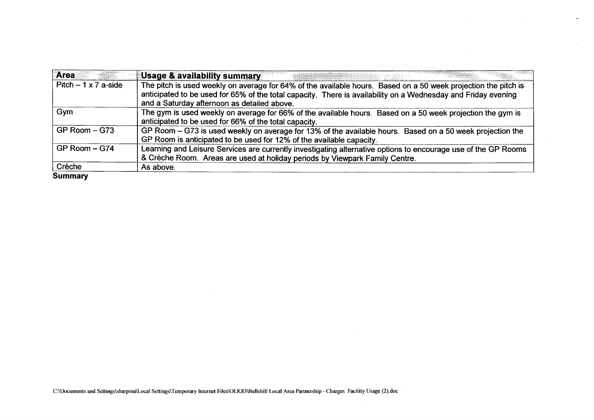| <b>Area</b>                | <b>Usage &amp; availability summary</b>                                                                                                                                                                                                                                        |
|----------------------------|--------------------------------------------------------------------------------------------------------------------------------------------------------------------------------------------------------------------------------------------------------------------------------|
| Pitch $-1 \times 7$ a-side | The pitch is used weekly on average for 64% of the available hours. Based on a 50 week projection the pitch is<br>anticipated to be used for 65% of the total capacity. There is availability on a Wednesday and Friday evening<br>and a Saturday afternoon as detailed above. |
| Gym                        | The gym is used weekly on average for 66% of the available hours. Based on a 50 week projection the gym is<br>anticipated to be used for 66% of the total capacity.                                                                                                            |
| $GP$ Room $-$ G73          | GP Room - G73 is used weekly on average for 13% of the available hours. Based on a 50 week projection the<br>GP Room is anticipated to be used for 12% of the available capacity.                                                                                              |
| GP Room - G74              | Learning and Leisure Services are currently investigating alternative options to encourage use of the GP Rooms<br>& Crèche Room. Areas are used at holiday periods by Viewpark Family Centre.                                                                                  |
| Crèche                     | As above.                                                                                                                                                                                                                                                                      |
| <b>Summary</b>             |                                                                                                                                                                                                                                                                                |

 $\ddot{\phantom{a}}$ 

**C:Ulocuments and Settings\sharpmaU,ocal Settings\Temporary Internet Files\OLK83\BellshilI Local Area Partnership** - **Charges Facility Usage (2).doc**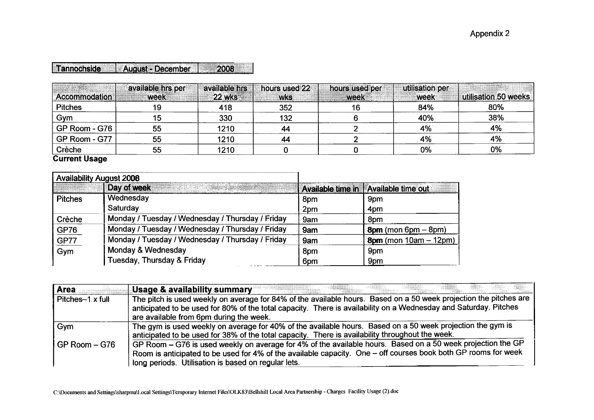| Tannochside August - December |  |
|-------------------------------|--|

| <b>Accommodation</b> | available hrs per<br>week | available hrs<br><b>22 wks</b> | hours used 22<br><b>WKS</b> | hours used per<br>week | utilisation per<br>week | utilisation 50 weeks |
|----------------------|---------------------------|--------------------------------|-----------------------------|------------------------|-------------------------|----------------------|
| <b>Pitches</b>       | 19                        | 418                            | 352                         |                        | 84%                     | 80%                  |
| Gym                  | 15                        | 330                            | 132                         |                        | 40%                     | 38%                  |
| GP Room - G76        | 55                        | 1210                           | 44                          |                        | 4%                      | 4%                   |
| GP Room - G77        | 55                        | 1210                           | 44                          |                        | 4%                      | 4%                   |
| Crèche               | 55                        | 1210                           |                             |                        | $0\%$                   | 0%                   |

**Current Usage** 

|                | <b>Availability August 2008</b>                                                                                                        |     |                                        |
|----------------|----------------------------------------------------------------------------------------------------------------------------------------|-----|----------------------------------------|
|                | Day of week<br><u>In the second companies and the second second in the second second in the second second in the second second in </u> |     | Available time in   Available time out |
| <b>Pitches</b> | Wednesday                                                                                                                              | 8pm | 9pm                                    |
|                | Saturday                                                                                                                               | 2pm | 4pm                                    |
| Crèche         | Monday / Tuesday / Wednesday / Thursday / Friday                                                                                       | 9am | 8pm                                    |
| GP76           | Monday / Tuesday / Wednesday / Thursday / Friday                                                                                       | 9am | $8pm ($ mon 6pm $-$ 8pm $)$            |
| <b>GP77</b>    | Monday / Tuesday / Wednesday / Thursday / Friday                                                                                       | 9am | $8pm$ (mon $10am - 12pm$ )             |
| Gym            | Monday & Wednesday                                                                                                                     | 8pm | 9pm                                    |
|                | Tuesday, Thursday & Friday                                                                                                             | 6pm | 9pm                                    |

| <b>Area</b>       | Usage & availability summary                                                                                      |
|-------------------|-------------------------------------------------------------------------------------------------------------------|
| Pitches-1 x full  | The pitch is used weekly on average for 84% of the available hours. Based on a 50 week projection the pitches are |
|                   | anticipated to be used for 80% of the total capacity. There is availability on a Wednesday and Saturday. Pitches  |
|                   | are available from 6pm during the week.                                                                           |
| Gym               | The gym is used weekly on average for 40% of the available hours. Based on a 50 week projection the gym is        |
|                   | anticipated to be used for 38% of the total capacity. There is availability throughout the week.                  |
| $GP$ Room $-$ G76 | GP Room - G76 is used weekly on average for 4% of the available hours. Based on a 50 week projection the GP       |
|                   | Room is anticipated to be used for 4% of the available capacity. One – off courses book both GP rooms for week    |
|                   | long periods. Utilisation is based on regular lets.                                                               |